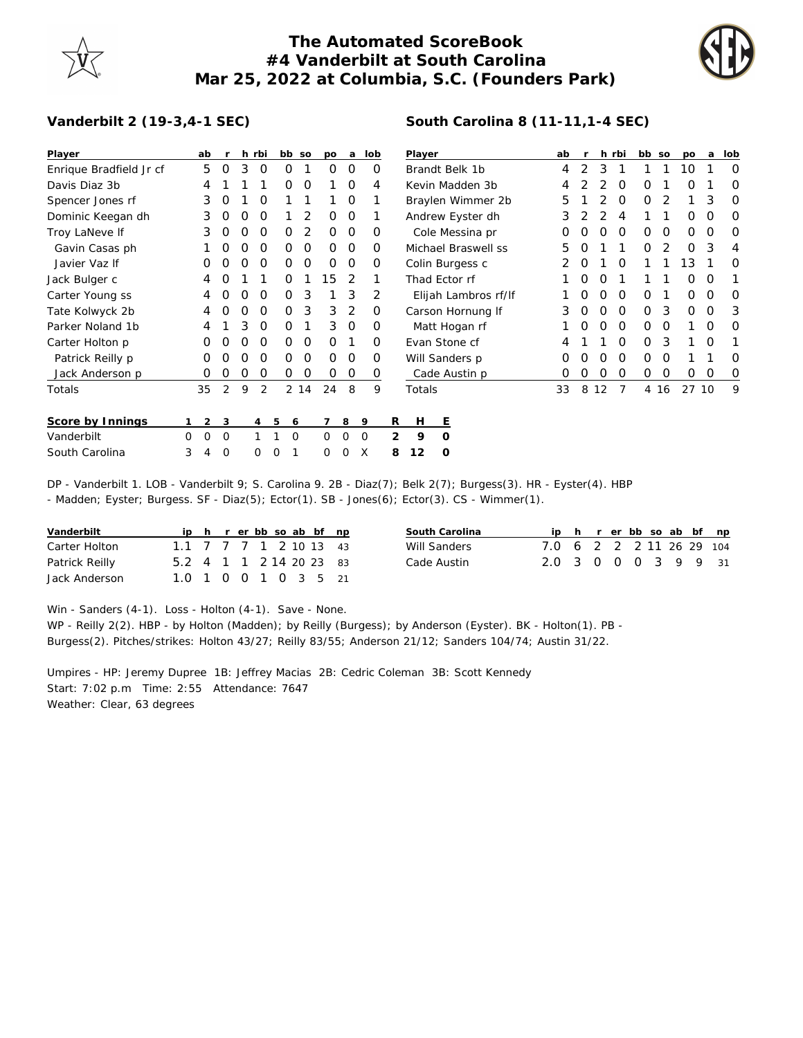## **The Automated ScoreBook #4 Vanderbilt at South Carolina Mar 25, 2022 at Columbia, S.C. (Founders Park)**

**South Carolina 8 (11-11,1-4 SEC)**



## **Vanderbilt 2 (19-3,4-1 SEC)**

| Player                  |   | ab             |                  |          | h rbi | bb so    |      | po       | a              | lob      |   | Player               |               |  |   | ab |   |    | h rbi    | bb so       |      | po           | a        | lob      |
|-------------------------|---|----------------|------------------|----------|-------|----------|------|----------|----------------|----------|---|----------------------|---------------|--|---|----|---|----|----------|-------------|------|--------------|----------|----------|
| Enrique Bradfield Jr cf |   | 5              | $\Omega$         | 3        | 0     | 0        |      | $\Omega$ | 0              | O        |   | Brandt Belk 1b       |               |  | 4 | 2  | 3 |    |          |             | 10   |              | $\Omega$ |          |
| Davis Diaz 3b           |   | 4              |                  |          |       | 0        | 0    |          | $\Omega$       | 4        |   | Kevin Madden 3b      |               |  |   | 4  |   |    | O        | O           |      | Ο            |          | 0        |
| Spencer Jones rf        |   | 3              | O                |          | 0     |          |      |          | $\mathbf 0$    |          |   | Braylen Wimmer 2b    |               |  |   | 5  |   |    | 0        | 0           | 2    |              | 3        | 0        |
| Dominic Keegan dh       |   | 3              | O                | O        | 0     |          | 2    | $\Omega$ | 0              |          |   | Andrew Eyster dh     |               |  |   | 3  |   |    | 4        |             |      | 0            | O        | 0        |
| Troy LaNeve If          |   | 3              | O                | O        | O     | 0        | 2    | $\Omega$ | $\circ$        | O        |   | Cole Messina pr      |               |  |   | O  |   | 0  | O        | 0           | 0    | 0            | O        | $\Omega$ |
| Gavin Casas ph          |   |                | $\left( \right)$ | O        | O     | 0        | 0    | $\Omega$ | $\Omega$       | $\Omega$ |   | Michael Braswell ss  |               |  |   | 5  |   |    |          | 0           |      | 0            | 3        | 4        |
| Javier Vaz If           |   |                |                  |          | O     | 0        | 0    | O        | $\Omega$       | O        |   | Colin Burgess c      |               |  |   |    | O |    | O        |             |      | Ι3           |          | O        |
| Jack Bulger c           |   | 4              |                  |          |       | Ο        |      | 15       | 2              |          |   | Thad Ector rf        |               |  |   |    | Ω | O  |          |             |      | Ο            | O        |          |
| Carter Young ss         |   | 4              | O                | O        | O     | 0        | 3    |          | 3              | 2        |   | Elijah Lambros rf/lf |               |  |   |    | O | O  | $\Omega$ | 0           |      | 0            | O        | $\Omega$ |
| Tate Kolwyck 2b         |   | 4              | $\left($         | $\left($ | O     | 0        | 3    | 3        | 2              | O        |   | Carson Hornung If    |               |  |   | 3  | 0 | 0  | 0        | $\mathbf 0$ | 3    | $\mathbf{O}$ | 0        | 3        |
| Parker Noland 1b        |   | 4              |                  | 3        | 0     | 0        |      | 3        | $\circ$        | 0        |   |                      | Matt Hogan rf |  |   |    | 0 | 0  | 0        | 0           | 0    |              | 0        | 0        |
| Carter Holton p         |   | 0              | $\left($         | O        | O     | 0        | 0    | $\Omega$ |                | O        |   | Evan Stone cf        |               |  |   | 4  |   |    | O        | 0           | 3    | 1            | $\Omega$ |          |
| Patrick Reilly p        |   | O              | $\left( \right)$ | $\left($ | O     | 0        | 0    | $\Omega$ | $\overline{O}$ | O        |   | Will Sanders p       |               |  |   | Ο  |   | O  | O        | 0           | 0    |              |          | O        |
| Jack Anderson p         |   | O              |                  |          | 0     | 0        | 0    | 0        | 0              | 0        |   |                      | Cade Austin p |  |   | 0  | O | 0  | 0        | 0           | O    | $\mathbf{O}$ | 0        | 0        |
| Totals                  |   | 35             | 2                | 9        | 2     |          | 2 14 | 24       | 8              | 9        |   | Totals               |               |  |   | 33 | 8 | 12 |          |             | 4 16 | 27 10        |          | 9        |
| Score by Innings        |   | $\overline{2}$ | 3                |          | 4     | 5<br>6   |      |          | 8              | 9        | R | н                    | Ε             |  |   |    |   |    |          |             |      |              |          |          |
| Vanderbilt              | 0 | 0              | $\mathbf 0$      |          |       | $\Omega$ |      | 0        | 0              | 0        | 2 | 9                    | $\Omega$      |  |   |    |   |    |          |             |      |              |          |          |
| South Carolina          | 3 | 4              | $\Omega$         |          | 0     | $\Omega$ |      | 0        | 0              | X        | 8 | 12                   | O             |  |   |    |   |    |          |             |      |              |          |          |

DP - Vanderbilt 1. LOB - Vanderbilt 9; S. Carolina 9. 2B - Diaz(7); Belk 2(7); Burgess(3). HR - Eyster(4). HBP - Madden; Eyster; Burgess. SF - Diaz(5); Ector(1). SB - Jones(6); Ector(3). CS - Wimmer(1).

| Vanderbilt     |                         |  |  |  | ip h r er bb so ab bf np | South Carolina |                          |  |  |  | iph rerbbsoab bf np |
|----------------|-------------------------|--|--|--|--------------------------|----------------|--------------------------|--|--|--|---------------------|
| Carter Holton  | 1.1 7 7 7 1 2 10 13 43  |  |  |  |                          | Will Sanders   | 7.0 6 2 2 2 11 26 29 104 |  |  |  |                     |
| Patrick Reilly | 5.2 4 1 1 2 14 20 23 83 |  |  |  |                          | Cade Austin    | 2.0 3 0 0 0 3 9 9 31     |  |  |  |                     |
| Jack Anderson  | 1.0 1 0 0 1 0 3 5 21    |  |  |  |                          |                |                          |  |  |  |                     |

Win - Sanders (4-1). Loss - Holton (4-1). Save - None.

WP - Reilly 2(2). HBP - by Holton (Madden); by Reilly (Burgess); by Anderson (Eyster). BK - Holton(1). PB - Burgess(2). Pitches/strikes: Holton 43/27; Reilly 83/55; Anderson 21/12; Sanders 104/74; Austin 31/22.

Umpires - HP: Jeremy Dupree 1B: Jeffrey Macias 2B: Cedric Coleman 3B: Scott Kennedy Start: 7:02 p.m Time: 2:55 Attendance: 7647 Weather: Clear, 63 degrees